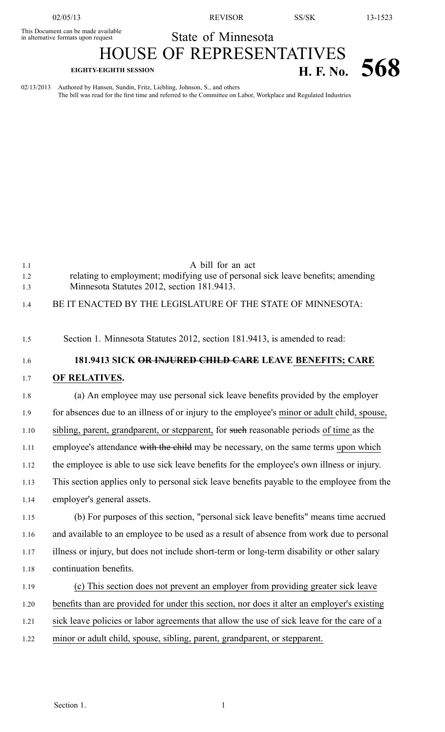02/05/13 REVISOR SS/SK 13-1523

## State of Minnesota

This Document can be made available HOUSE OF REPRESENTATIVES **EIGHTY-EIGHTH SESSION H. F. No. 568** 

02/13/2013 Authored by Hansen, Sundin, Fritz, Liebling, Johnson, S., and others The bill was read for the first time and referred to the Committee on Labor, Workplace and Regulated Industries

| 1.1  | A bill for an act                                                                           |
|------|---------------------------------------------------------------------------------------------|
| 1.2  | relating to employment; modifying use of personal sick leave benefits; amending             |
| 1.3  | Minnesota Statutes 2012, section 181.9413.                                                  |
| 1.4  | BE IT ENACTED BY THE LEGISLATURE OF THE STATE OF MINNESOTA:                                 |
| 1.5  | Section 1. Minnesota Statutes 2012, section 181.9413, is amended to read:                   |
| 1.6  | 181.9413 SICK OR INJURED CHILD CARE LEAVE BENEFITS; CARE                                    |
| 1.7  | OF RELATIVES.                                                                               |
| 1.8  | (a) An employee may use personal sick leave benefits provided by the employer               |
| 1.9  | for absences due to an illness of or injury to the employee's minor or adult child, spouse, |
| 1.10 | sibling, parent, grandparent, or stepparent, for such reasonable periods of time as the     |
| 1.11 | employee's attendance with the child may be necessary, on the same terms upon which         |
| 1.12 | the employee is able to use sick leave benefits for the employee's own illness or injury.   |
| 1.13 | This section applies only to personal sick leave benefits payable to the employee from the  |
| 1.14 | employer's general assets.                                                                  |
| 1.15 | (b) For purposes of this section, "personal sick leave benefits" means time accrued         |
| 1.16 | and available to an employee to be used as a result of absence from work due to personal    |
| 1.17 | illness or injury, but does not include short-term or long-term disability or other salary  |
| 1.18 | continuation benefits.                                                                      |
| 1.19 | (c) This section does not prevent an employer from providing greater sick leave             |
| 1.20 | benefits than are provided for under this section, nor does it alter an employer's existing |
| 1.21 | sick leave policies or labor agreements that allow the use of sick leave for the care of a  |
| 1.22 | minor or adult child, spouse, sibling, parent, grandparent, or stepparent.                  |
|      |                                                                                             |